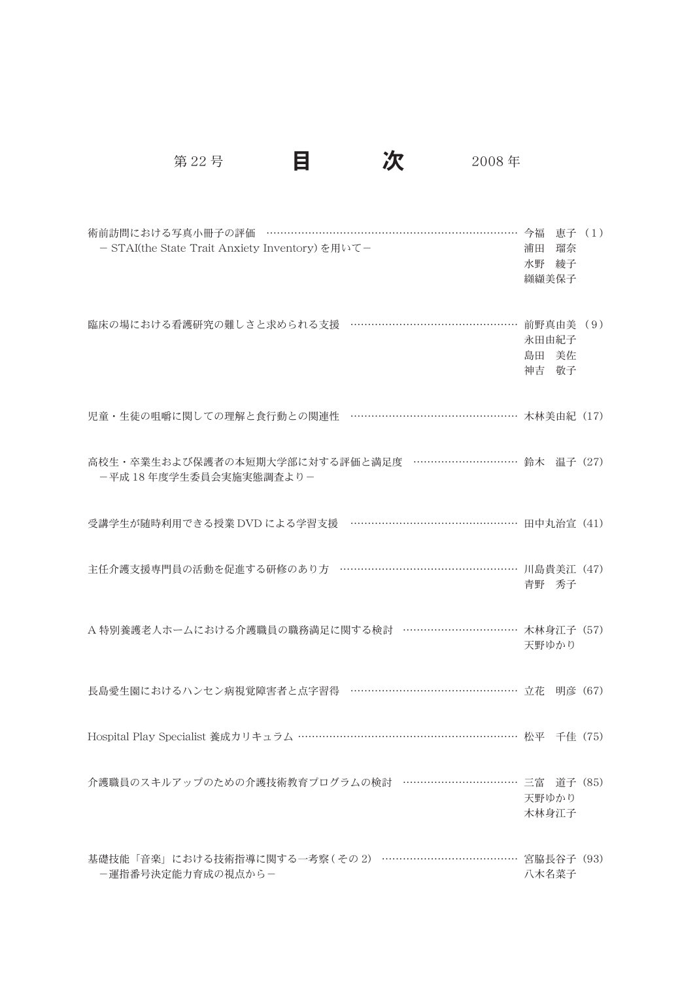第22号 日 次 2008年

| 術前訪問における写真小冊子の評価 ………………………………………………………………… 今福 恵子 (1)<br>- STAI(the State Trait Anxiety Inventory)を用いて- | 浦田 瑠奈<br>水野 綾子<br>纐纈美保子 |  |
|--------------------------------------------------------------------------------------------------------|-------------------------|--|
| 臨床の場における看護研究の難しさと求められる支援 …………………………………………… 前野真由美 (9)                                                   | 永田由紀子<br>島田 美佐<br>神吉 敬子 |  |
| 児童・生徒の咀嚼に関しての理解と食行動との関連性 ………………………………………… 木林美由紀 (17)                                                   |                         |  |
| 高校生・卒業生および保護者の本短期大学部に対する評価と満足度 …………………………… 鈴木 温子 (27)<br>ー平成18年度学生委員会実施実態調査より-                         |                         |  |
| 受講学生が随時利用できる授業 DVD による学習支援 …………………………………………… 田中丸治宣 (41)                                                |                         |  |
| 主任介護支援専門員の活動を促進する研修のあり方 ……………………………………………… 川島貴美江 (47)                                                  | 青野 秀子                   |  |
| A 特別養護老人ホームにおける介護職員の職務満足に関する検討 …………………………… 木林身江子 (57)                                                  | 天野ゆかり                   |  |
| 長島愛生園におけるハンセン病視覚障害者と点字習得 ……………………………………………… 立花 明彦 (67)                                                 |                         |  |
| Hospital Play Specialist 養成カリキュラム ………………………………………………………… 松平 千佳 (75)                                    |                         |  |
| 介護職員のスキルアップのための介護技術教育プログラムの検討 ……………………………… 三富 道子 (85)                                                  | 天野ゆかり<br>木林身江子          |  |
| 基礎技能「音楽」における技術指導に関する一考察(その2) …………………………………… 宮脇長谷子 (93)<br>-運指番号決定能力育成の視点から-                            | 八木名菜子                   |  |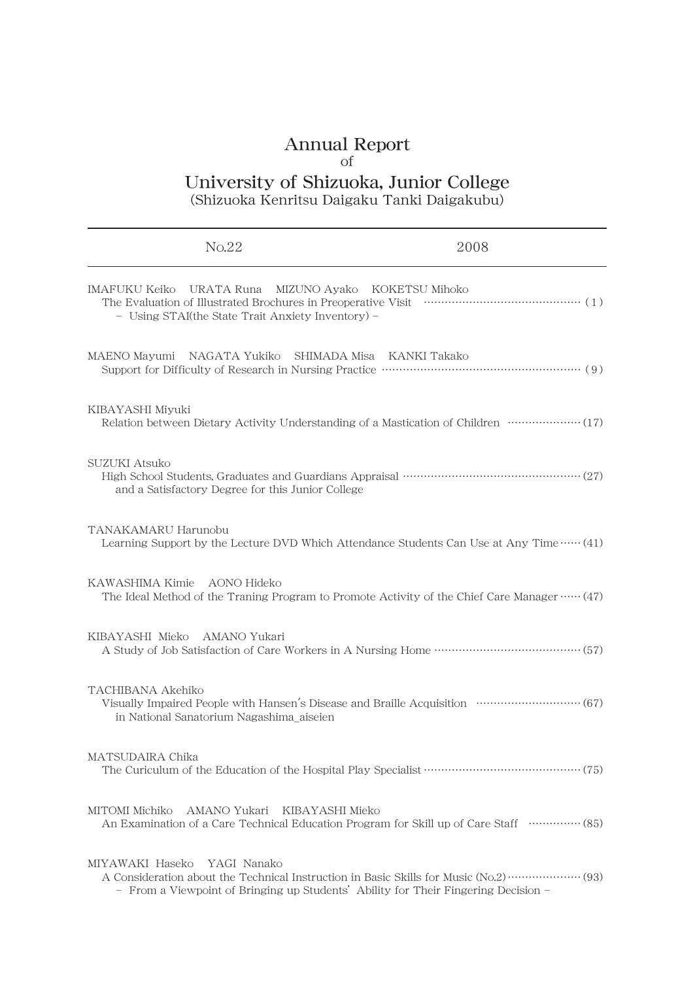## Annual Report

## of

## University of Shizuoka, Junior College

(Shizuoka Kenritsu Daigaku Tanki Daigakubu)

| No.22                                                                                                             | 2008                                                                                                      |
|-------------------------------------------------------------------------------------------------------------------|-----------------------------------------------------------------------------------------------------------|
| IMAFUKU Keiko URATA Runa MIZUNO Ayako KOKETSU Mihoko<br>- Using STAI(the State Trait Anxiety Inventory) -         | The Evaluation of Illustrated Brochures in Preoperative Visit manufacture (1)                             |
| MAENO Mayumi NAGATA Yukiko SHIMADA Misa KANKI Takako                                                              |                                                                                                           |
| KIBAYASHI Miyuki                                                                                                  | Relation between Dietary Activity Understanding of a Mastication of Children ···················· (17)    |
| <b>SUZUKI Atsuko</b><br>and a Satisfactory Degree for this Junior College                                         |                                                                                                           |
| TANAKAMARU Harunobu                                                                                               | Learning Support by the Lecture DVD Which Attendance Students Can Use at Any Time …… (41)                 |
| KAWASHIMA Kimie AONO Hideko                                                                                       | The Ideal Method of the Traning Program to Promote Activity of the Chief Care Manager $\cdots$ (47)       |
| KIBAYASHI Mieko AMANO Yukari                                                                                      |                                                                                                           |
| TACHIBANA Akehiko<br>in National Sanatorium Nagashima aiseien                                                     | Visually Impaired People with Hansen's Disease and Braille Acquisition ····························· (67) |
| MATSUDAIRA Chika                                                                                                  |                                                                                                           |
| MITOMI Michiko<br>AMANO Yukari KIBAYASHI Mieko                                                                    | An Examination of a Care Technical Education Program for Skill up of Care Staff (all approximates) (85)   |
| MIYAWAKI Haseko YAGI Nanako<br>- From a Viewpoint of Bringing up Students' Ability for Their Fingering Decision - |                                                                                                           |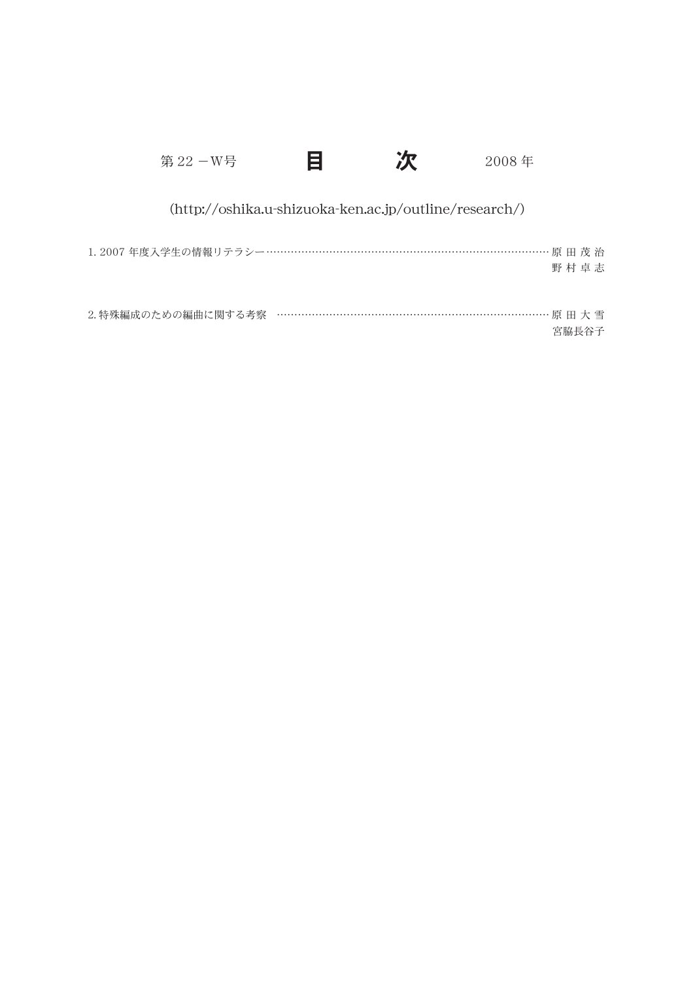| 第 22 -W号                                                 | Ħ |                                                        | 2008年 |       |  |
|----------------------------------------------------------|---|--------------------------------------------------------|-------|-------|--|
|                                                          |   | (http://oshika.u-shizuoka-ken.ac.jp/outline/research/) |       |       |  |
| 1.2007 年度入学生の情報リテラシー………………………………………………………………………… 原 田 茂 治 |   |                                                        |       | 野村卓志  |  |
| 2.特殊編成のための編曲に関する考察 ……………………………………………………………………… 原 田 大 雪   |   |                                                        |       | 宮脇長谷子 |  |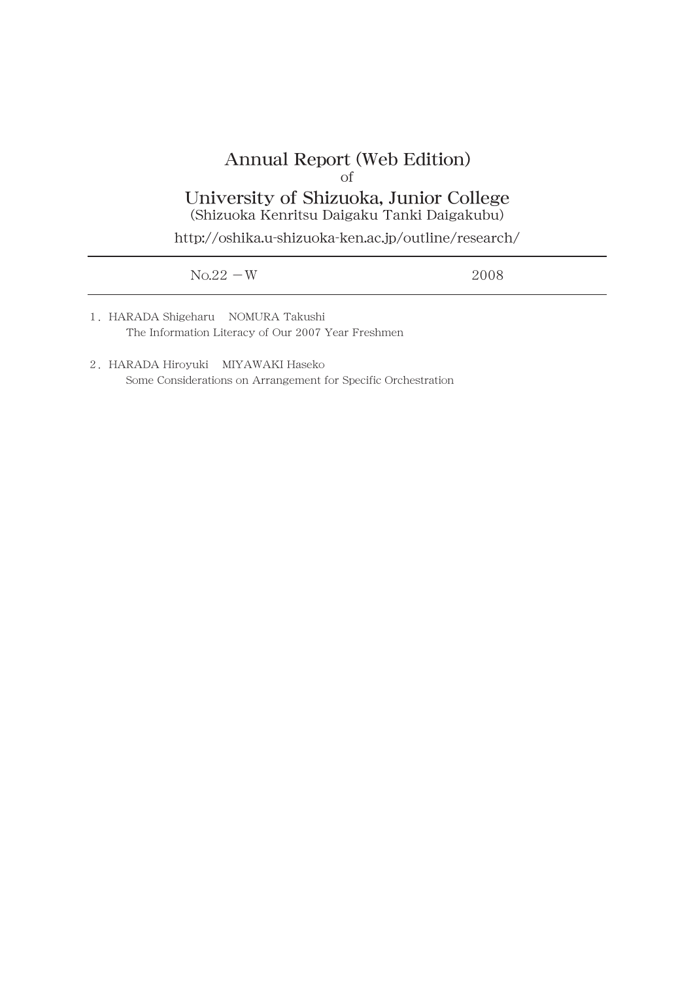## Annual Report (Web Edition) of University of Shizuoka, Junior College

(Shizuoka Kenritsu Daigaku Tanki Daigakubu)

http://oshika.u-shizuoka-ken.ac.jp/outline/research/

| $No.22-W$ | 2008 |
|-----------|------|
|           |      |

- 1.HARADA Shigeharu NOMURA Takushi The Information Literacy of Our 2007 Year Freshmen
- 2.HARADA Hiroyuki MIYAWAKI Haseko Some Considerations on Arrangement for Specific Orchestration